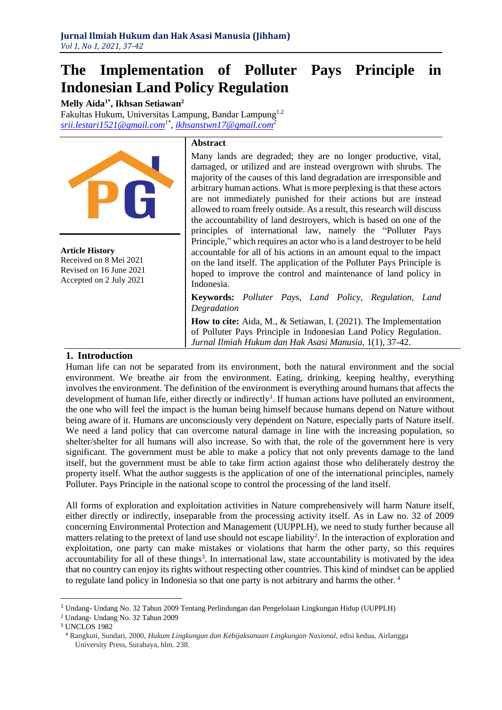# **The Implementation of Polluter Pays Principle in Indonesian Land Policy Regulation**

**Melly Aida1\* , Ikhsan Setiawan<sup>2</sup>** Fakultas Hukum, Universitas Lampung, Bandar Lampung1,2 *[srii.lestari1521@gmail.com](mailto:srii.lestari1521@gmail.com)1\* , [ikhsanstwn17@gmail.com](mailto:ikhsanstwn17@gmail.com)<sup>2</sup>*



**Article History** Received on 8 Mei 2021 Revised on 16 June 2021 Accepted on 2 July 2021

#### **Abstract**

Many lands are degraded; they are no longer productive, vital, damaged, or utilized and are instead overgrown with shrubs. The majority of the causes of this land degradation are irresponsible and arbitrary human actions. What is more perplexing is that these actors are not immediately punished for their actions but are instead allowed to roam freely outside. As a result, this research will discuss the accountability of land destroyers, which is based on one of the principles of international law, namely the "Polluter Pays Principle," which requires an actor who is a land destroyer to be held accountable for all of his actions in an amount equal to the impact on the land itself. The application of the Polluter Pays Principle is hoped to improve the control and maintenance of land policy in Indonesia.

**Keywords:** *Polluter Pays*, *Land Policy, Regulation, Land Degradation*

**How to cite:** Aida, M., & Setiawan, I. (2021). The Implementation of Polluter Pays Principle in Indonesian Land Policy Regulation. *Jurnal Ilmiah Hukum dan Hak Asasi Manusia*, 1(1), 37-42.

## **1. Introduction**

Human life can not be separated from its environment, both the natural environment and the social environment. We breathe air from the environment. Eating, drinking, keeping healthy, everything involves the environment. The definition of the environment is everything around humans that affects the development of human life, either directly or indirectly<sup>1</sup>. If human actions have polluted an environment, the one who will feel the impact is the human being himself because humans depend on Nature without being aware of it. Humans are unconsciously very dependent on Nature, especially parts of Nature itself. We need a land policy that can overcome natural damage in line with the increasing population, so shelter/shelter for all humans will also increase. So with that, the role of the government here is very significant. The government must be able to make a policy that not only prevents damage to the land itself, but the government must be able to take firm action against those who deliberately destroy the property itself. What the author suggests is the application of one of the international principles, namely Polluter. Pays Principle in the national scope to control the processing of the land itself.

All forms of exploration and exploitation activities in Nature comprehensively will harm Nature itself, either directly or indirectly, inseparable from the processing activity itself. As in Law no. 32 of 2009 concerning Environmental Protection and Management (UUPPLH), we need to study further because all matters relating to the pretext of land use should not escape liability<sup>2</sup>. In the interaction of exploration and exploitation, one party can make mistakes or violations that harm the other party, so this requires accountability for all of these things<sup>3</sup>. In international law, state accountability is motivated by the idea that no country can enjoy its rights without respecting other countries. This kind of mindset can be applied to regulate land policy in Indonesia so that one party is not arbitrary and harms the other. <sup>4</sup>

<sup>1</sup> Undang- Undang No. 32 Tahun 2009 Tentang Perlindungan dan Pengelolaan Lingkungan Hidup (UUPPLH)

<sup>2</sup> Undang- Undang No. 32 Tahun 2009

<sup>3</sup> UNCLOS 1982

<sup>4</sup> Rangkuti, Sundari, 2000, *Hukum Lingkungan dan Kebijaksanaan Lingkungan Nasional,* edisi kedua, Airlangga University Press, Surabaya, hlm. 238.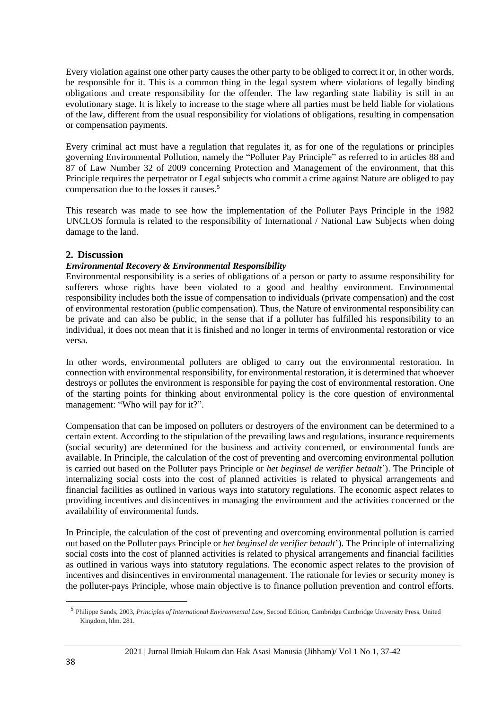Every violation against one other party causes the other party to be obliged to correct it or, in other words, be responsible for it. This is a common thing in the legal system where violations of legally binding obligations and create responsibility for the offender. The law regarding state liability is still in an evolutionary stage. It is likely to increase to the stage where all parties must be held liable for violations of the law, different from the usual responsibility for violations of obligations, resulting in compensation or compensation payments.

Every criminal act must have a regulation that regulates it, as for one of the regulations or principles governing Environmental Pollution, namely the "Polluter Pay Principle" as referred to in articles 88 and 87 of Law Number 32 of 2009 concerning Protection and Management of the environment, that this Principle requires the perpetrator or Legal subjects who commit a crime against Nature are obliged to pay compensation due to the losses it causes.<sup>5</sup>

This research was made to see how the implementation of the Polluter Pays Principle in the 1982 UNCLOS formula is related to the responsibility of International / National Law Subjects when doing damage to the land.

# **2. Discussion**

### *Environmental Recovery & Environmental Responsibility*

Environmental responsibility is a series of obligations of a person or party to assume responsibility for sufferers whose rights have been violated to a good and healthy environment. Environmental responsibility includes both the issue of compensation to individuals (private compensation) and the cost of environmental restoration (public compensation). Thus, the Nature of environmental responsibility can be private and can also be public, in the sense that if a polluter has fulfilled his responsibility to an individual, it does not mean that it is finished and no longer in terms of environmental restoration or vice versa.

In other words, environmental polluters are obliged to carry out the environmental restoration. In connection with environmental responsibility, for environmental restoration, it is determined that whoever destroys or pollutes the environment is responsible for paying the cost of environmental restoration. One of the starting points for thinking about environmental policy is the core question of environmental management: "Who will pay for it?".

Compensation that can be imposed on polluters or destroyers of the environment can be determined to a certain extent. According to the stipulation of the prevailing laws and regulations, insurance requirements (social security) are determined for the business and activity concerned, or environmental funds are available. In Principle, the calculation of the cost of preventing and overcoming environmental pollution is carried out based on the Polluter pays Principle or *het beginsel de verifier betaalt*'). The Principle of internalizing social costs into the cost of planned activities is related to physical arrangements and financial facilities as outlined in various ways into statutory regulations. The economic aspect relates to providing incentives and disincentives in managing the environment and the activities concerned or the availability of environmental funds.

In Principle, the calculation of the cost of preventing and overcoming environmental pollution is carried out based on the Polluter pays Principle or *het beginsel de verifier betaalt*'). The Principle of internalizing social costs into the cost of planned activities is related to physical arrangements and financial facilities as outlined in various ways into statutory regulations. The economic aspect relates to the provision of incentives and disincentives in environmental management. The rationale for levies or security money is the polluter-pays Principle, whose main objective is to finance pollution prevention and control efforts.

<sup>5</sup> Philippe Sands, 2003, *Principles of International Environmental Law*, Second Edition, Cambridge Cambridge University Press, United Kingdom, hlm. 281.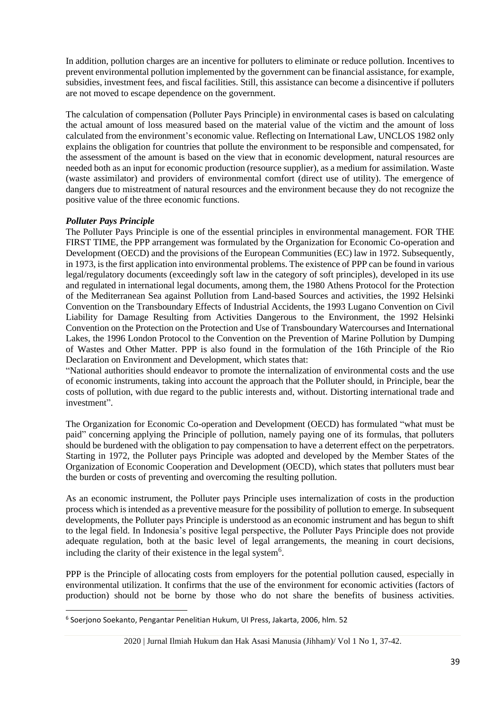In addition, pollution charges are an incentive for polluters to eliminate or reduce pollution. Incentives to prevent environmental pollution implemented by the government can be financial assistance, for example, subsidies, investment fees, and fiscal facilities. Still, this assistance can become a disincentive if polluters are not moved to escape dependence on the government.

The calculation of compensation (Polluter Pays Principle) in environmental cases is based on calculating the actual amount of loss measured based on the material value of the victim and the amount of loss calculated from the environment's economic value. Reflecting on International Law, UNCLOS 1982 only explains the obligation for countries that pollute the environment to be responsible and compensated, for the assessment of the amount is based on the view that in economic development, natural resources are needed both as an input for economic production (resource supplier), as a medium for assimilation. Waste (waste assimilator) and providers of environmental comfort (direct use of utility). The emergence of dangers due to mistreatment of natural resources and the environment because they do not recognize the positive value of the three economic functions.

# *Polluter Pays Principle*

The Polluter Pays Principle is one of the essential principles in environmental management. FOR THE FIRST TIME, the PPP arrangement was formulated by the Organization for Economic Co-operation and Development (OECD) and the provisions of the European Communities (EC) law in 1972. Subsequently, in 1973, is the first application into environmental problems. The existence of PPP can be found in various legal/regulatory documents (exceedingly soft law in the category of soft principles), developed in its use and regulated in international legal documents, among them, the 1980 Athens Protocol for the Protection of the Mediterranean Sea against Pollution from Land-based Sources and activities, the 1992 Helsinki Convention on the Transboundary Effects of Industrial Accidents, the 1993 Lugano Convention on Civil Liability for Damage Resulting from Activities Dangerous to the Environment, the 1992 Helsinki Convention on the Protection on the Protection and Use of Transboundary Watercourses and International Lakes, the 1996 London Protocol to the Convention on the Prevention of Marine Pollution by Dumping of Wastes and Other Matter. PPP is also found in the formulation of the 16th Principle of the Rio Declaration on Environment and Development, which states that:

"National authorities should endeavor to promote the internalization of environmental costs and the use of economic instruments, taking into account the approach that the Polluter should, in Principle, bear the costs of pollution, with due regard to the public interests and, without. Distorting international trade and investment".

The Organization for Economic Co-operation and Development (OECD) has formulated "what must be paid" concerning applying the Principle of pollution, namely paying one of its formulas, that polluters should be burdened with the obligation to pay compensation to have a deterrent effect on the perpetrators. Starting in 1972, the Polluter pays Principle was adopted and developed by the Member States of the Organization of Economic Cooperation and Development (OECD), which states that polluters must bear the burden or costs of preventing and overcoming the resulting pollution.

As an economic instrument, the Polluter pays Principle uses internalization of costs in the production process which is intended as a preventive measure for the possibility of pollution to emerge. In subsequent developments, the Polluter pays Principle is understood as an economic instrument and has begun to shift to the legal field. In Indonesia's positive legal perspective, the Polluter Pays Principle does not provide adequate regulation, both at the basic level of legal arrangements, the meaning in court decisions, including the clarity of their existence in the legal system $6$ .

PPP is the Principle of allocating costs from employers for the potential pollution caused, especially in environmental utilization. It confirms that the use of the environment for economic activities (factors of production) should not be borne by those who do not share the benefits of business activities.

<sup>6</sup> Soerjono Soekanto, Pengantar Penelitian Hukum, UI Press, Jakarta, 2006, hlm. 52

<sup>2020 |</sup> Jurnal Ilmiah Hukum dan Hak Asasi Manusia (Jihham)/ Vol 1 No 1, 37-42.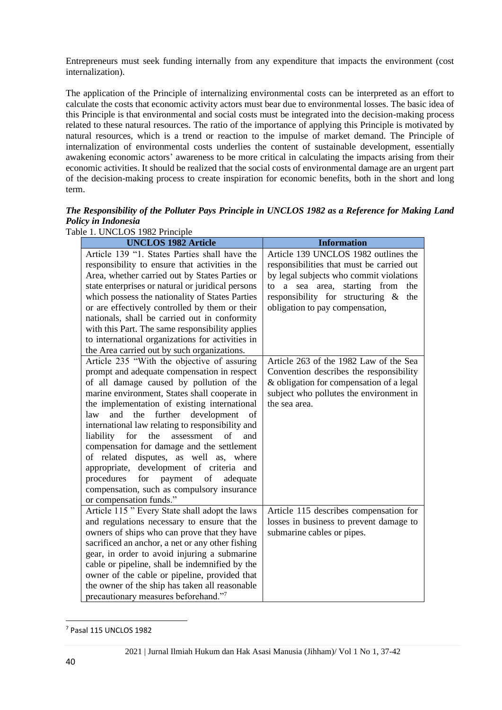Entrepreneurs must seek funding internally from any expenditure that impacts the environment (cost internalization).

The application of the Principle of internalizing environmental costs can be interpreted as an effort to calculate the costs that economic activity actors must bear due to environmental losses. The basic idea of this Principle is that environmental and social costs must be integrated into the decision-making process related to these natural resources. The ratio of the importance of applying this Principle is motivated by natural resources, which is a trend or reaction to the impulse of market demand. The Principle of internalization of environmental costs underlies the content of sustainable development, essentially awakening economic actors' awareness to be more critical in calculating the impacts arising from their economic activities. It should be realized that the social costs of environmental damage are an urgent part of the decision-making process to create inspiration for economic benefits, both in the short and long term.

*The Responsibility of the Polluter Pays Principle in UNCLOS 1982 as a Reference for Making Land Policy in Indonesia*

Table 1. UNCLOS 1982 Principle

| <b>UNCLOS 1982 Article</b>                                                                                                                                                                                                                                                                                                                                                                                                                                                                                                                                                                                                                                                                                    | <b>Information</b>                                                                                              |
|---------------------------------------------------------------------------------------------------------------------------------------------------------------------------------------------------------------------------------------------------------------------------------------------------------------------------------------------------------------------------------------------------------------------------------------------------------------------------------------------------------------------------------------------------------------------------------------------------------------------------------------------------------------------------------------------------------------|-----------------------------------------------------------------------------------------------------------------|
| Article 139 "1. States Parties shall have the                                                                                                                                                                                                                                                                                                                                                                                                                                                                                                                                                                                                                                                                 | Article 139 UNCLOS 1982 outlines the                                                                            |
| responsibility to ensure that activities in the                                                                                                                                                                                                                                                                                                                                                                                                                                                                                                                                                                                                                                                               | responsibilities that must be carried out                                                                       |
| Area, whether carried out by States Parties or                                                                                                                                                                                                                                                                                                                                                                                                                                                                                                                                                                                                                                                                | by legal subjects who commit violations                                                                         |
| state enterprises or natural or juridical persons                                                                                                                                                                                                                                                                                                                                                                                                                                                                                                                                                                                                                                                             | starting from<br>the<br>to<br>a sea area,                                                                       |
| which possess the nationality of States Parties                                                                                                                                                                                                                                                                                                                                                                                                                                                                                                                                                                                                                                                               | responsibility for structuring &<br>the                                                                         |
| or are effectively controlled by them or their                                                                                                                                                                                                                                                                                                                                                                                                                                                                                                                                                                                                                                                                | obligation to pay compensation,                                                                                 |
| nationals, shall be carried out in conformity                                                                                                                                                                                                                                                                                                                                                                                                                                                                                                                                                                                                                                                                 |                                                                                                                 |
| with this Part. The same responsibility applies                                                                                                                                                                                                                                                                                                                                                                                                                                                                                                                                                                                                                                                               |                                                                                                                 |
| to international organizations for activities in                                                                                                                                                                                                                                                                                                                                                                                                                                                                                                                                                                                                                                                              |                                                                                                                 |
| the Area carried out by such organizations.                                                                                                                                                                                                                                                                                                                                                                                                                                                                                                                                                                                                                                                                   |                                                                                                                 |
| Article 235 "With the objective of assuring                                                                                                                                                                                                                                                                                                                                                                                                                                                                                                                                                                                                                                                                   | Article 263 of the 1982 Law of the Sea                                                                          |
| prompt and adequate compensation in respect                                                                                                                                                                                                                                                                                                                                                                                                                                                                                                                                                                                                                                                                   | Convention describes the responsibility                                                                         |
| of all damage caused by pollution of the                                                                                                                                                                                                                                                                                                                                                                                                                                                                                                                                                                                                                                                                      | & obligation for compensation of a legal                                                                        |
| marine environment, States shall cooperate in                                                                                                                                                                                                                                                                                                                                                                                                                                                                                                                                                                                                                                                                 | subject who pollutes the environment in                                                                         |
| the implementation of existing international                                                                                                                                                                                                                                                                                                                                                                                                                                                                                                                                                                                                                                                                  | the sea area.                                                                                                   |
| further<br>development<br>and<br>the<br>law<br>of                                                                                                                                                                                                                                                                                                                                                                                                                                                                                                                                                                                                                                                             |                                                                                                                 |
| international law relating to responsibility and                                                                                                                                                                                                                                                                                                                                                                                                                                                                                                                                                                                                                                                              |                                                                                                                 |
| liability for the assessment<br>$\sigma$<br>and                                                                                                                                                                                                                                                                                                                                                                                                                                                                                                                                                                                                                                                               |                                                                                                                 |
|                                                                                                                                                                                                                                                                                                                                                                                                                                                                                                                                                                                                                                                                                                               |                                                                                                                 |
|                                                                                                                                                                                                                                                                                                                                                                                                                                                                                                                                                                                                                                                                                                               |                                                                                                                 |
|                                                                                                                                                                                                                                                                                                                                                                                                                                                                                                                                                                                                                                                                                                               |                                                                                                                 |
|                                                                                                                                                                                                                                                                                                                                                                                                                                                                                                                                                                                                                                                                                                               |                                                                                                                 |
|                                                                                                                                                                                                                                                                                                                                                                                                                                                                                                                                                                                                                                                                                                               |                                                                                                                 |
|                                                                                                                                                                                                                                                                                                                                                                                                                                                                                                                                                                                                                                                                                                               |                                                                                                                 |
|                                                                                                                                                                                                                                                                                                                                                                                                                                                                                                                                                                                                                                                                                                               |                                                                                                                 |
|                                                                                                                                                                                                                                                                                                                                                                                                                                                                                                                                                                                                                                                                                                               |                                                                                                                 |
|                                                                                                                                                                                                                                                                                                                                                                                                                                                                                                                                                                                                                                                                                                               |                                                                                                                 |
|                                                                                                                                                                                                                                                                                                                                                                                                                                                                                                                                                                                                                                                                                                               |                                                                                                                 |
|                                                                                                                                                                                                                                                                                                                                                                                                                                                                                                                                                                                                                                                                                                               |                                                                                                                 |
|                                                                                                                                                                                                                                                                                                                                                                                                                                                                                                                                                                                                                                                                                                               |                                                                                                                 |
|                                                                                                                                                                                                                                                                                                                                                                                                                                                                                                                                                                                                                                                                                                               |                                                                                                                 |
|                                                                                                                                                                                                                                                                                                                                                                                                                                                                                                                                                                                                                                                                                                               |                                                                                                                 |
| compensation for damage and the settlement<br>of related disputes, as well as, where<br>appropriate, development of criteria and<br>payment<br>of<br>procedures<br>for<br>adequate<br>compensation, such as compulsory insurance<br>or compensation funds."<br>Article 115" Every State shall adopt the laws<br>and regulations necessary to ensure that the<br>owners of ships who can prove that they have<br>sacrificed an anchor, a net or any other fishing<br>gear, in order to avoid injuring a submarine<br>cable or pipeline, shall be indemnified by the<br>owner of the cable or pipeline, provided that<br>the owner of the ship has taken all reasonable<br>precautionary measures beforehand."7 | Article 115 describes compensation for<br>losses in business to prevent damage to<br>submarine cables or pipes. |

<sup>7</sup> Pasal 115 UNCLOS 1982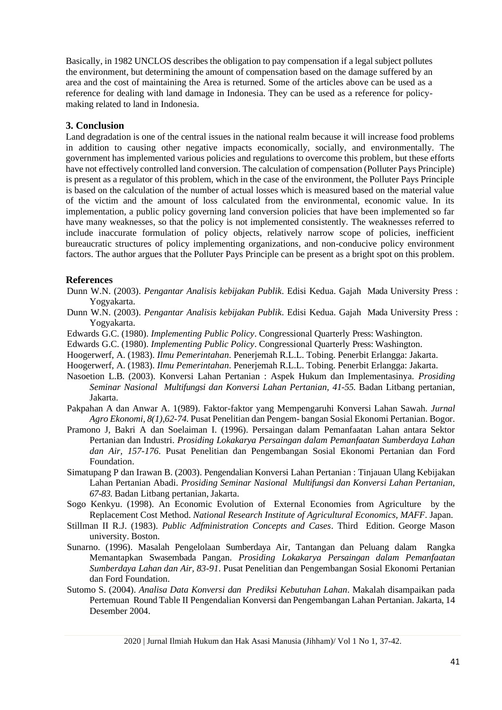Basically, in 1982 UNCLOS describes the obligation to pay compensation if a legal subject pollutes the environment, but determining the amount of compensation based on the damage suffered by an area and the cost of maintaining the Area is returned. Some of the articles above can be used as a reference for dealing with land damage in Indonesia. They can be used as a reference for policymaking related to land in Indonesia.

### **3. Conclusion**

Land degradation is one of the central issues in the national realm because it will increase food problems in addition to causing other negative impacts economically, socially, and environmentally. The government has implemented various policies and regulations to overcome this problem, but these efforts have not effectively controlled land conversion. The calculation of compensation (Polluter Pays Principle) is present as a regulator of this problem, which in the case of the environment, the Polluter Pays Principle is based on the calculation of the number of actual losses which is measured based on the material value of the victim and the amount of loss calculated from the environmental, economic value. In its implementation, a public policy governing land conversion policies that have been implemented so far have many weaknesses, so that the policy is not implemented consistently. The weaknesses referred to include inaccurate formulation of policy objects, relatively narrow scope of policies, inefficient bureaucratic structures of policy implementing organizations, and non-conducive policy environment factors. The author argues that the Polluter Pays Principle can be present as a bright spot on this problem.

#### **References**

- Dunn W.N. (2003). *Pengantar Analisis kebijakan Publik*. Edisi Kedua. Gajah Mada University Press : Yogyakarta.
- Dunn W.N. (2003). *Pengantar Analisis kebijakan Publik*. Edisi Kedua. Gajah Mada University Press : Yogyakarta.
- Edwards G.C. (1980). *Implementing Public Policy*. Congressional Quarterly Press: Washington.
- Edwards G.C. (1980). *Implementing Public Policy*. Congressional Quarterly Press: Washington.

Hoogerwerf, A. (1983). *Ilmu Pemerintahan*. Penerjemah R.L.L. Tobing. Penerbit Erlangga: Jakarta.

Hoogerwerf, A. (1983). *Ilmu Pemerintahan*. Penerjemah R.L.L. Tobing. Penerbit Erlangga: Jakarta.

- Nasoetion L.B. (2003). Konversi Lahan Pertanian : Aspek Hukum dan Implementasinya. *Prosiding Seminar Nasional Multifungsi dan Konversi Lahan Pertanian, 41-55.* Badan Litbang pertanian, Jakarta.
- Pakpahan A dan Anwar A. 1(989). Faktor-faktor yang Mempengaruhi Konversi Lahan Sawah. *Jurnal Agro Ekonomi, 8(1),62-74.* Pusat Penelitian dan Pengem- bangan Sosial Ekonomi Pertanian. Bogor.
- Pramono J, Bakri A dan Soelaiman I. (1996). Persaingan dalam Pemanfaatan Lahan antara Sektor Pertanian dan Industri. *Prosiding Lokakarya Persaingan dalam Pemanfaatan Sumberdaya Lahan dan Air, 157-176*. Pusat Penelitian dan Pengembangan Sosial Ekonomi Pertanian dan Ford Foundation.
- Simatupang P dan Irawan B. (2003). Pengendalian Konversi Lahan Pertanian : Tinjauan Ulang Kebijakan Lahan Pertanian Abadi. *Prosiding Seminar Nasional Multifungsi dan Konversi Lahan Pertanian, 67-83.* Badan Litbang pertanian, Jakarta.
- Sogo Kenkyu. (1998). An Economic Evolution of External Economies from Agriculture by the Replacement Cost Method. *National Research Institute of Agricultural Economics, MAFF.* Japan.
- Stillman II R.J. (1983). *Public Adfministration Concepts and Cases*. Third Edition. George Mason university. Boston.
- Sunarno. (1996). Masalah Pengelolaan Sumberdaya Air, Tantangan dan Peluang dalam Rangka Memantapkan Swasembada Pangan. *Prosiding Lokakarya Persaingan dalam Pemanfaatan Sumberdaya Lahan dan Air, 83-91*. Pusat Penelitian dan Pengembangan Sosial Ekonomi Pertanian dan Ford Foundation.
- Sutomo S. (2004). *Analisa Data Konversi dan Prediksi Kebutuhan Lahan*. Makalah disampaikan pada Pertemuan Round Table II Pengendalian Konversi dan Pengembangan Lahan Pertanian. Jakarta, 14 Desember 2004.

2020 | Jurnal Ilmiah Hukum dan Hak Asasi Manusia (Jihham)/ Vol 1 No 1, 37-42.